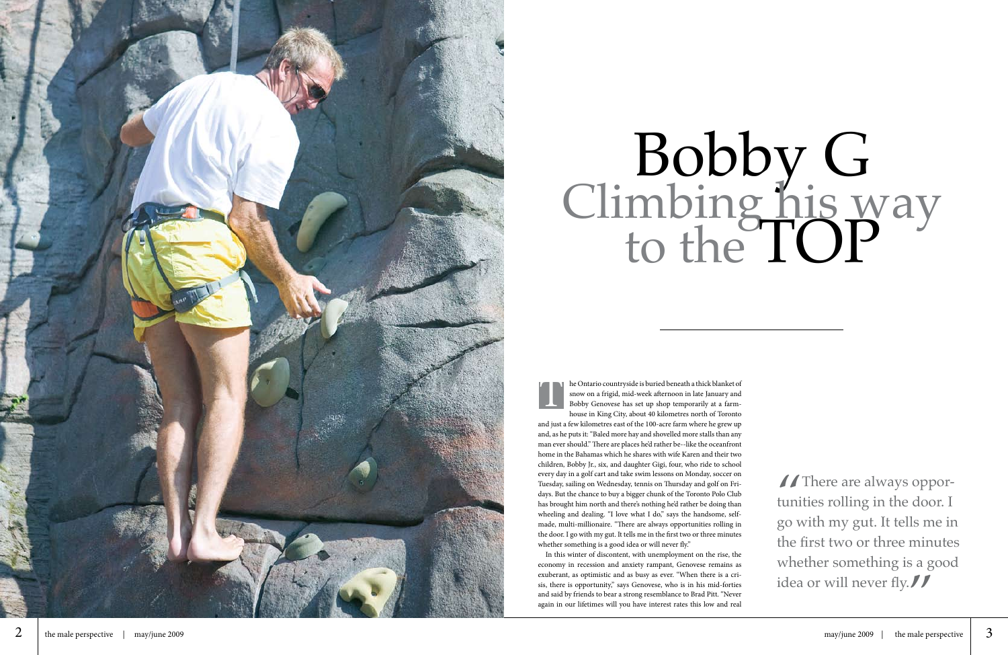

## Bobby G<br>Climbing his way<br>to the TOP

house in King City, about 40 kilometres north of Toronto and just a few kilometres east of the 100-acre farm where he grew up and, as he puts it: "Baled more hay and shovelled more stalls than any man ever should." There are places he'd rather be--like the oceanfront home in the Bahamas which he shares with wife Karen and their two children, Bobby Jr., six, and daughter Gigi, four, who ride to school every day in a golf cart and take swim lessons on Monday, soccer on Tuesday, sailing on Wednesday, tennis on Thursday and golf on Fri days. But the chance to buy a bigger chunk of the Toronto Polo Club has brought him north and there's nothing he'd rather be doing than wheeling and dealing. "I love what I do," says the handsome, selfmade, multi-millionaire. "There are always opportunities rolling in the door. I go with my gut. It tells me in the first two or three minutes whether something is a good idea or will never fly."

he Ontario countryside is buried beneath a thick blanket of snow on a frigid, mid-week afternoon in late January and Bobby Genovese has set up shop temporarily at a farm - T

In this winter of discontent, with unemployment on the rise, the economy in recession and anxiety rampant, Genovese remains as exuberant, as optimistic and as busy as ever. "When there is a cri sis, there is opportunity," says Genovese, who is in his mid-forties and said by friends to bear a strong resemblance to Brad Pitt. "Never again in our lifetimes will you have interest rates this low and real

 $\int$  There are always oppor<br>tunities rolling in the door. If<br>yo with my gut It tells me is If There are always opportunities rolling in the door. I go with my gut. It tells me in the first two or three minutes whether something is a good idea or will never fly. $\int f$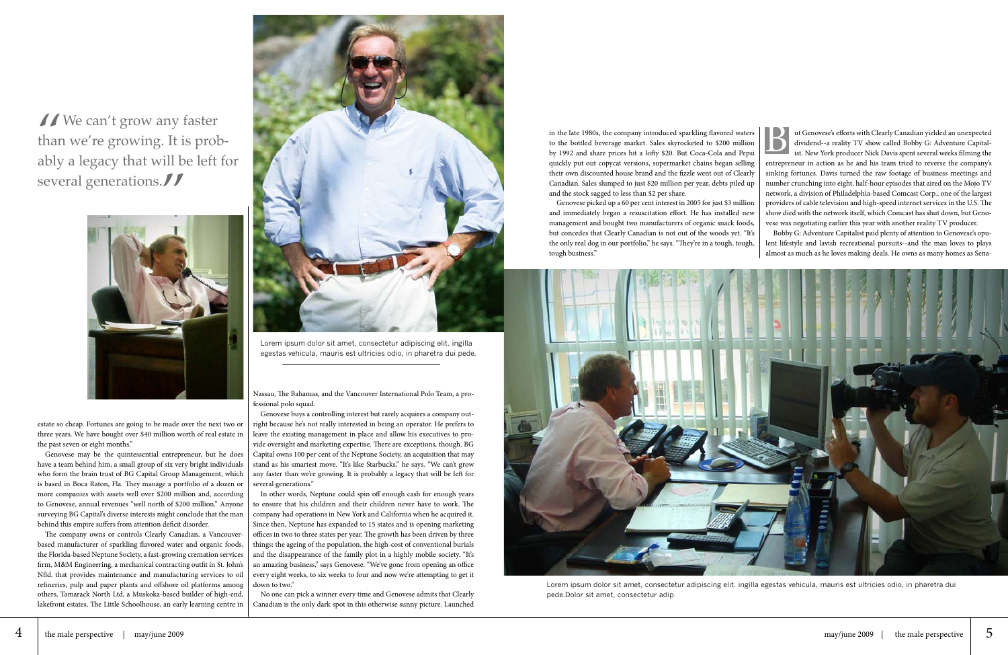estate so cheap. Fortunes are going to be made over the next two or three years. We have bought over \$40 million worth of real estate in the past seven or eight months."

Genovese may be the quintessential entrepreneur, but he does have a team behind him, a small group of six very bright individuals who form the brain trust of BG Capital Group Management, which is based in Boca Raton, Fla. They manage a portfolio of a dozen or more companies with assets well over \$200 million and, according to Genovese, annual revenues "well north of \$200 million." Anyone surveying BG Capital's diverse interests might conclude that the man behind this empire suffers from attention deficit disorder.

The company owns or controls Clearly Canadian, a Vancouverbased manufacturer of sparkling flavored water and organic foods, the Florida-based Neptune Society, a fast-growing cremation services firm, M&M Engineering, a mechanical contracting outfit in St. John's Nfld. that provides maintenance and manufacturing services to oil refineries, pulp and paper plants and offshore oil platforms among others, Tamarack North Ltd, a Muskoka-based builder of high-end, lakefront estates, The Little Schoolhouse, an early learning centre in

Nassau, The Bahamas, and the Vancouver International Polo Team, a professional polo squad.

Genovese buys a controlling interest but rarely acquires a company outright because he's not really interested in being an operator. He prefers to leave the existing management in place and allow his executives to provide oversight and marketing expertise. There are exceptions, though. BG Capital owns 100 per cent of the Neptune Society, an acquisition that may stand as his smartest move. "It's like Starbucks," he says. "We can't grow any faster than we're growing. It is probably a legacy that will be left for several generations."

ut Genovese's efforts with Clearly Canadian yielded an unexpected<br>dividend--a reality TV show called Bobby G: Adventure Capital-<br>ist. New York producer Nick Davis spent several weeks filming the dividend--a reality TV show called Bobby G: Adventure Capitalist. New York producer Nick Davis spent several weeks filming the entrepreneur in action as he and his team tried to reverse the company's sinking fortunes. Davis turned the raw footage of business meetings and number crunching into eight, half-hour episodes that aired on the Mojo TV network, a division of Philadelphia-based Comcast Corp., one of the largest providers of cable television and high-speed internet services in the U.S. The show died with the network itself, which Comcast has shut down, but Genovese was negotiating earlier this year with another reality TV producer.

In other words, Neptune could spin off enough cash for enough years to ensure that his children and their children never have to work. The company had operations in New York and California when he acquired it. Since then, Neptune has expanded to 15 states and is opening marketing offices in two to three states per year. The growth has been driven by three things: the ageing of the population, the high-cost of conventional burials and the disappearance of the family plot in a highly mobile society. "It's an amazing business," says Genovese. "We've gone from opening an office every eight weeks, to six weeks to four and now we're attempting to get it down to two."

No one can pick a winner every time and Genovese admits that Clearly Canadian is the only dark spot in this otherwise sunny picture. Launched

 $\sqrt{\frac{1}{\pi}}$  We can't grow any faster<br>than we're growing. It is probably a legacy that will be left than we're growing. It is probably a legacy that will be left for several generations.





Lorem ipsum dolor sit amet, consectetur adipiscing elit. ingilla egestas vehicula, mauris est ultricies odio, in pharetra dui pede.

in the late 1980s, the company introduced sparkling flavored waters to the bottled beverage market. Sales skyrocketed to \$200 million by 1992 and share prices hit a lofty \$20. But Coca-Cola and Pepsi quickly put out copycat versions, supermarket chains began selling their own discounted house brand and the fizzle went out of Clearly Canadian. Sales slumped to just \$20 million per year, debts piled up and the stock sagged to less than \$2 per share.

Genovese picked up a 60 per cent interest in 2005 for just \$3 million and immediately began a resuscitation effort. He has installed new management and bought two manufacturers of organic snack foods, but concedes that Clearly Canadian is not out of the woods yet. "It's the only real dog in our portfolio," he says. "They're in a tough, tough, tough business."

Bobby G: Adventure Capitalist paid plenty of attention to Genovese's opulent lifestyle and lavish recreational pursuits--and the man loves to plays almost as much as he loves making deals. He owns as many homes as Sena-



Lorem ipsum dolor sit amet, consectetur adipiscing elit. ingilla egestas vehicula, mauris est ultricies odio, in pharetra dui pede.Dolor sit amet, consectetur adip